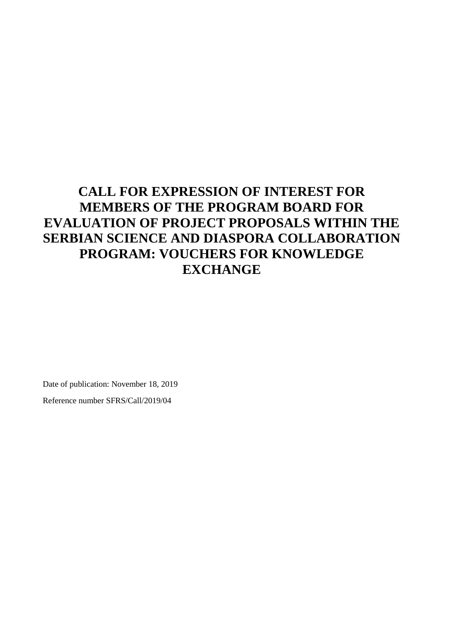# **CALL FOR EXPRESSION OF INTEREST FOR MEMBERS OF THE PROGRAM BOARD FOR EVALUATION OF PROJECT PROPOSALS WITHIN THE SERBIAN SCIENCE AND DIASPORA COLLABORATION PROGRAM: VOUCHERS FOR KNOWLEDGE EXCHANGE**

Date of publication: November 18, 2019

Reference number SFRS/Call/2019/04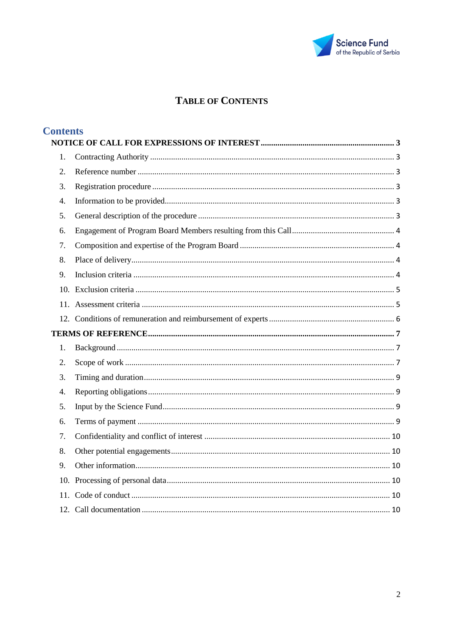

# **TABLE OF CONTENTS**

| <b>Contents</b>  |  |  |
|------------------|--|--|
| 1.               |  |  |
| $\overline{2}$ . |  |  |
| 3.               |  |  |
| $\overline{4}$ . |  |  |
| 5.               |  |  |
|                  |  |  |
| 6.               |  |  |
| 7.               |  |  |
| 8.               |  |  |
| 9.               |  |  |
|                  |  |  |
|                  |  |  |
|                  |  |  |
|                  |  |  |
| 1.               |  |  |
| 2.               |  |  |
| 3.               |  |  |
| $\overline{4}$ . |  |  |
| 5.               |  |  |
| 6.               |  |  |
| 7.               |  |  |
| 8.               |  |  |
| 9.               |  |  |
|                  |  |  |
|                  |  |  |
|                  |  |  |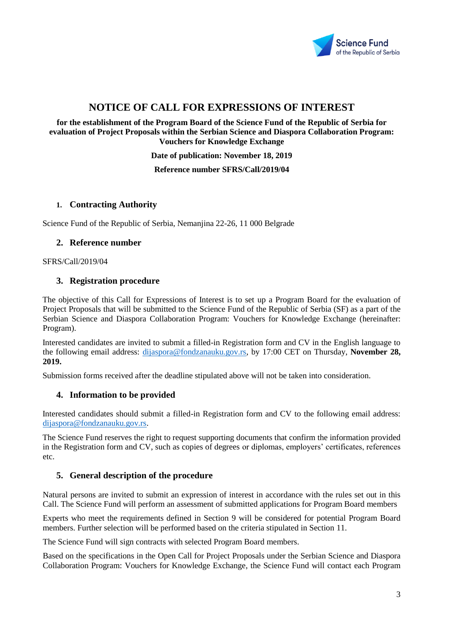

# **NOTICE OF CALL FOR EXPRESSIONS OF INTEREST**

<span id="page-2-0"></span>**for the establishment of the Program Board of the Science Fund of the Republic of Serbia for evaluation of Project Proposals within the Serbian Science and Diaspora Collaboration Program: Vouchers for Knowledge Exchange**

**Date of publication: November 18, 2019**

#### **Reference number SFRS/Call/2019/04**

#### <span id="page-2-1"></span>**1. Contracting Authority**

<span id="page-2-2"></span>Science Fund of the Republic of Serbia, Nemanjina 22-26, 11 000 Belgrade

#### **2. Reference number**

<span id="page-2-3"></span>SFRS/Call/2019/04

# **3. Registration procedure**

The objective of this Call for Expressions of Interest is to set up a Program Board for the evaluation of Project Proposals that will be submitted to the Science Fund of the Republic of Serbia (SF) as a part of the Serbian Science and Diaspora Collaboration Program: Vouchers for Knowledge Exchange (hereinafter: Program).

Interested candidates are invited to submit a filled-in Registration form and CV in the English language to the following email address: [dijaspora@fondzanauku.gov.rs,](mailto:dijaspora@fondzanauku.gov.rs) by 17:00 CET on Thursday, **November 28, 2019.**

<span id="page-2-4"></span>Submission forms received after the deadline stipulated above will not be taken into consideration.

#### **4. Information to be provided**

Interested candidates should submit a filled-in Registration form and CV to the following email address: [dijaspora@fondzanauku.gov.rs.](mailto:dijaspora@fondzanauku.gov.rs)

The Science Fund reserves the right to request supporting documents that confirm the information provided in the Registration form and CV, such as copies of degrees or diplomas, employers' certificates, references etc.

# <span id="page-2-5"></span>**5. General description of the procedure**

Natural persons are invited to submit an expression of interest in accordance with the rules set out in this Call. The Science Fund will perform an assessment of submitted applications for Program Board members

Experts who meet the requirements defined in Section 9 will be considered for potential Program Board members. Further selection will be performed based on the criteria stipulated in Section 11.

The Science Fund will sign contracts with selected Program Board members.

Based on the specifications in the Open Call for Project Proposals under the Serbian Science and Diaspora Collaboration Program: Vouchers for Knowledge Exchange, the Science Fund will contact each Program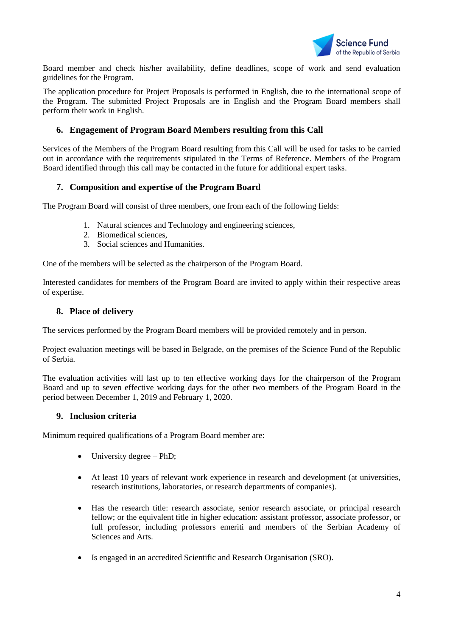

Board member and check his/her availability, define deadlines, scope of work and send evaluation guidelines for the Program.

The application procedure for Project Proposals is performed in English, due to the international scope of the Program. The submitted Project Proposals are in English and the Program Board members shall perform their work in English.

# <span id="page-3-0"></span>**6. Engagement of Program Board Members resulting from this Call**

Services of the Members of the Program Board resulting from this Call will be used for tasks to be carried out in accordance with the requirements stipulated in the Terms of Reference. Members of the Program Board identified through this call may be contacted in the future for additional expert tasks.

# <span id="page-3-1"></span>**7. Composition and expertise of the Program Board**

The Program Board will consist of three members, one from each of the following fields:

- 1. Natural sciences and Technology and engineering sciences,
- 2. Biomedical sciences,
- 3. Social sciences and Humanities.

One of the members will be selected as the chairperson of the Program Board.

<span id="page-3-2"></span>Interested candidates for members of the Program Board are invited to apply within their respective areas of expertise.

#### **8. Place of delivery**

The services performed by the Program Board members will be provided remotely and in person.

Project evaluation meetings will be based in Belgrade, on the premises of the Science Fund of the Republic of Serbia.

The evaluation activities will last up to ten effective working days for the chairperson of the Program Board and up to seven effective working days for the other two members of the Program Board in the period between December 1, 2019 and February 1, 2020.

# <span id="page-3-3"></span>**9. Inclusion criteria**

Minimum required qualifications of a Program Board member are:

- University degree PhD;
- At least 10 years of relevant work experience in research and development (at universities, research institutions, laboratories, or research departments of companies).
- Has the research title: research associate, senior research associate, or principal research fellow; or the equivalent title in higher education: assistant professor, associate professor, or full professor, including professors emeriti and members of the Serbian Academy of Sciences and Arts.
- Is engaged in an accredited Scientific and Research Organisation (SRO).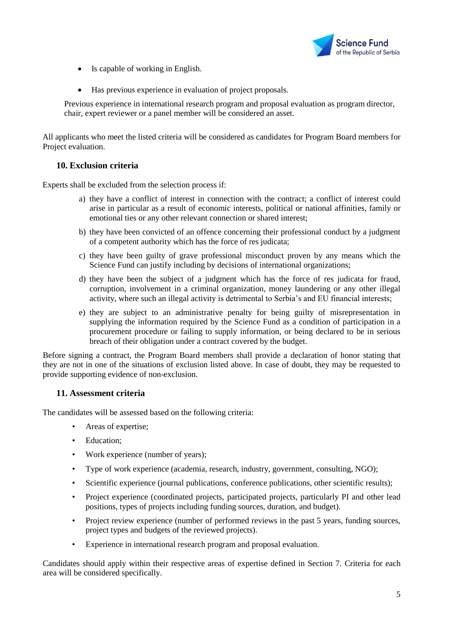

- Is capable of working in English.
- Has previous experience in evaluation of project proposals.

Previous experience in international research program and proposal evaluation as program director, chair, expert reviewer or a panel member will be considered an asset.

All applicants who meet the listed criteria will be considered as candidates for Program Board members for Project evaluation.

# <span id="page-4-0"></span>**10. Exclusion criteria**

Experts shall be excluded from the selection process if:

- a) they have a conflict of interest in connection with the contract; a conflict of interest could arise in particular as a result of economic interests, political or national affinities, family or emotional ties or any other relevant connection or shared interest;
- b) they have been convicted of an offence concerning their professional conduct by a judgment of a competent authority which has the force of res judicata;
- c) they have been guilty of grave professional misconduct proven by any means which the Science Fund can justify including by decisions of international organizations;
- d) they have been the subject of a judgment which has the force of res judicata for fraud, corruption, involvement in a criminal organization, money laundering or any other illegal activity, where such an illegal activity is detrimental to Serbia's and EU financial interests;
- e) they are subject to an administrative penalty for being guilty of misrepresentation in supplying the information required by the Science Fund as a condition of participation in a procurement procedure or failing to supply information, or being declared to be in serious breach of their obligation under a contract covered by the budget.

Before signing a contract, the Program Board members shall provide a declaration of honor stating that they are not in one of the situations of exclusion listed above. In case of doubt, they may be requested to provide supporting evidence of non-exclusion.

# <span id="page-4-1"></span>**11. Assessment criteria**

The candidates will be assessed based on the following criteria:

- Areas of expertise;
- Education;
- Work experience (number of years);
- Type of work experience (academia, research, industry, government, consulting, NGO);
- Scientific experience (journal publications, conference publications, other scientific results);
- Project experience (coordinated projects, participated projects, particularly PI and other lead positions, types of projects including funding sources, duration, and budget).
- Project review experience (number of performed reviews in the past 5 years, funding sources, project types and budgets of the reviewed projects).
- Experience in international research program and proposal evaluation.

Candidates should apply within their respective areas of expertise defined in Section 7. Criteria for each area will be considered specifically.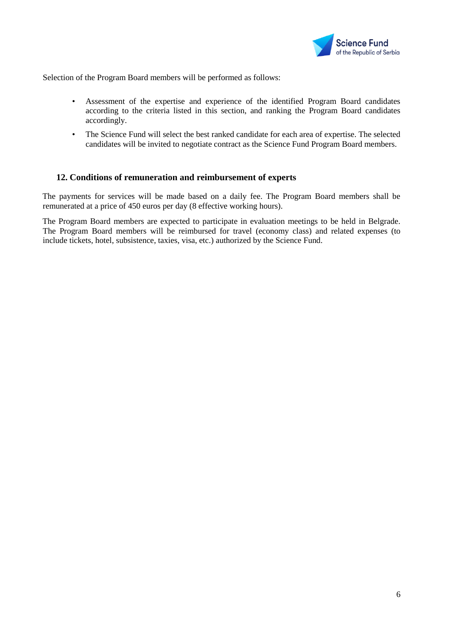

Selection of the Program Board members will be performed as follows:

- Assessment of the expertise and experience of the identified Program Board candidates according to the criteria listed in this section, and ranking the Program Board candidates accordingly.
- The Science Fund will select the best ranked candidate for each area of expertise. The selected candidates will be invited to negotiate contract as the Science Fund Program Board members.

# <span id="page-5-0"></span>**12. Conditions of remuneration and reimbursement of experts**

The payments for services will be made based on a daily fee. The Program Board members shall be remunerated at a price of 450 euros per day (8 effective working hours).

The Program Board members are expected to participate in evaluation meetings to be held in Belgrade. The Program Board members will be reimbursed for travel (economy class) and related expenses (to include tickets, hotel, subsistence, taxies, visa, etc.) authorized by the Science Fund.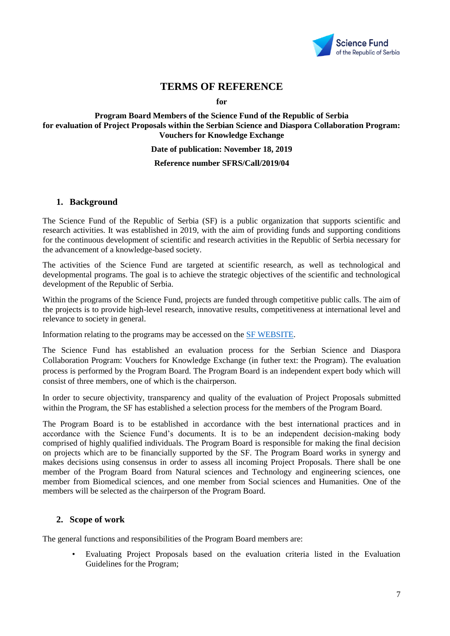

# **TERMS OF REFERENCE**

**for**

#### <span id="page-6-0"></span>**Program Board Members of the Science Fund of the Republic of Serbia for evaluation of Project Proposals within the Serbian Science and Diaspora Collaboration Program: Vouchers for Knowledge Exchange**

#### **Date of publication: November 18, 2019**

#### **Reference number SFRS/Call/2019/04**

#### <span id="page-6-1"></span>**1. Background**

The Science Fund of the Republic of Serbia [\(SF\)](http://www.fondzanauku.gov.rs/?lang=en)) is a public organization that supports scientific and research activities. It was established in 2019, with the aim of providing funds and supporting conditions for the continuous development of scientific and research activities in the Republic of Serbia necessary for the advancement of a knowledge-based society.

The activities of the Science Fund are targeted at scientific research, as well as technological and developmental programs. The goal is to achieve the strategic objectives of the scientific and technological development of the Republic of Serbia.

Within the programs of the Science Fund, projects are funded through competitive public calls. The aim of the projects is to provide high-level research, innovative results, competitiveness at international level and relevance to society in general.

Information relating to the programs may be accessed on the [SF WEBSITE.](http://fondzanauku.gov.rs/programs/?lang=en)

The Science Fund has established an evaluation process for the Serbian Science and Diaspora Collaboration Program: Vouchers for Knowledge Exchange (in futher text: the Program). The evaluation process is performed by the Program Board. The Program Board is an independent expert body which will consist of three members, one of which is the chairperson.

In order to secure objectivity, transparency and quality of the evaluation of Project Proposals submitted within the Program, the SF has established a selection process for the members of the Program Board.

The Program Board is to be established in accordance with the best international practices and in accordance with the Science Fund's documents. It is to be an independent decision-making body comprised of highly qualified individuals. The Program Board is responsible for making the final decision on projects which are to be financially supported by the SF. The Program Board works in synergy and makes decisions using consensus in order to assess all incoming Project Proposals. There shall be one member of the Program Board from Natural sciences and Technology and engineering sciences, one member from Biomedical sciences, and one member from Social sciences and Humanities. One of the members will be selected as the chairperson of the Program Board.

#### <span id="page-6-2"></span>**2. Scope of work**

The general functions and responsibilities of the Program Board members are:

• Evaluating Project Proposals based on the evaluation criteria listed in the Evaluation Guidelines for the Program;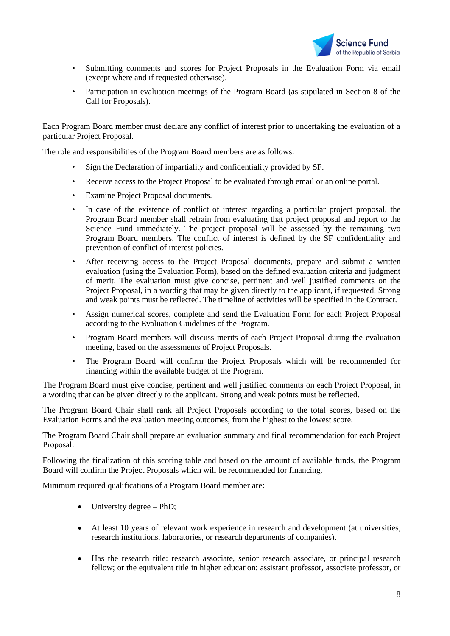

- Submitting comments and scores for Project Proposals in the Evaluation Form via email (except where and if requested otherwise).
- Participation in evaluation meetings of the Program Board (as stipulated in Section 8 of the Call for Proposals).

Each Program Board member must declare any conflict of interest prior to undertaking the evaluation of a particular Project Proposal.

The role and responsibilities of the Program Board members are as follows:

- Sign the Declaration of impartiality and confidentiality provided by SF.
- Receive access to the Project Proposal to be evaluated through email or an online portal.
- Examine Project Proposal documents.
- In case of the existence of conflict of interest regarding a particular project proposal, the Program Board member shall refrain from evaluating that project proposal and report to the Science Fund immediately. The project proposal will be assessed by the remaining two Program Board members. The conflict of interest is defined by the SF confidentiality and prevention of conflict of interest policies.
- After receiving access to the Project Proposal documents, prepare and submit a written evaluation (using the Evaluation Form), based on the defined evaluation criteria and judgment of merit. The evaluation must give concise, pertinent and well justified comments on the Project Proposal, in a wording that may be given directly to the applicant, if requested. Strong and weak points must be reflected. The timeline of activities will be specified in the Contract.
- Assign numerical scores, complete and send the Evaluation Form for each Project Proposal according to the Evaluation Guidelines of the Program.
- Program Board members will discuss merits of each Project Proposal during the evaluation meeting, based on the assessments of Project Proposals.
- The Program Board will confirm the Project Proposals which will be recommended for financing within the available budget of the Program.

The Program Board must give concise, pertinent and well justified comments on each Project Proposal, in a wording that can be given directly to the applicant. Strong and weak points must be reflected.

The Program Board Chair shall rank all Project Proposals according to the total scores, based on the Evaluation Forms and the evaluation meeting outcomes, from the highest to the lowest score.

The Program Board Chair shall prepare an evaluation summary and final recommendation for each Project Proposal.

Following the finalization of this scoring table and based on the amount of available funds, the Program Board will confirm the Project Proposals which will be recommended for financing.

Minimum required qualifications of a Program Board member are:

- University degree PhD;
- At least 10 years of relevant work experience in research and development (at universities, research institutions, laboratories, or research departments of companies).
- Has the research title: research associate, senior research associate, or principal research fellow; or the equivalent title in higher education: assistant professor, associate professor, or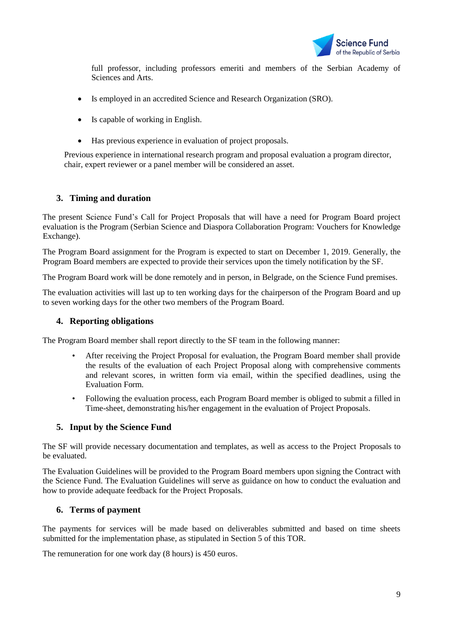

full professor, including professors emeriti and members of the Serbian Academy of Sciences and Arts.

- Is employed in an accredited Science and Research Organization (SRO).
- Is capable of working in English.
- Has previous experience in evaluation of project proposals.

Previous experience in international research program and proposal evaluation a program director, chair, expert reviewer or a panel member will be considered an asset.

# <span id="page-8-0"></span>**3. Timing and duration**

The present Science Fund's Call for Project Proposals that will have a need for Program Board project evaluation is the Program (Serbian Science and Diaspora Collaboration Program: Vouchers for Knowledge Exchange).

The Program Board assignment for the Program is expected to start on December 1, 2019. Generally, the Program Board members are expected to provide their services upon the timely notification by the SF.

The Program Board work will be done remotely and in person, in Belgrade, on the Science Fund premises.

The evaluation activities will last up to ten working days for the chairperson of the Program Board and up to seven working days for the other two members of the Program Board.

### <span id="page-8-1"></span>**4. Reporting obligations**

The Program Board member shall report directly to the SF team in the following manner:

- After receiving the Project Proposal for evaluation, the Program Board member shall provide the results of the evaluation of each Project Proposal along with comprehensive comments and relevant scores, in written form via email, within the specified deadlines, using the Evaluation Form.
- Following the evaluation process, each Program Board member is obliged to submit a filled in Time-sheet, demonstrating his/her engagement in the evaluation of Project Proposals.

# <span id="page-8-2"></span>**5. Input by the Science Fund**

The SF will provide necessary documentation and templates, as well as access to the Project Proposals to be evaluated.

The Evaluation Guidelines will be provided to the Program Board members upon signing the Contract with the Science Fund. The Evaluation Guidelines will serve as guidance on how to conduct the evaluation and how to provide adequate feedback for the Project Proposals.

# <span id="page-8-3"></span>**6. Terms of payment**

The payments for services will be made based on deliverables submitted and based on time sheets submitted for the implementation phase, as stipulated in Section 5 of this TOR.

The remuneration for one work day (8 hours) is 450 euros.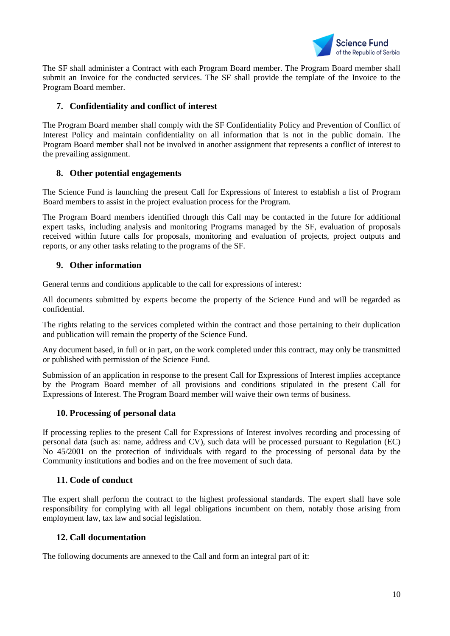

The SF shall administer a Contract with each Program Board member. The Program Board member shall submit an Invoice for the conducted services. The SF shall provide the template of the Invoice to the Program Board member.

# <span id="page-9-0"></span>**7. Confidentiality and conflict of interest**

The Program Board member shall comply with the SF Confidentiality Policy and Prevention of Conflict of Interest Policy and maintain confidentiality on all information that is not in the public domain. The Program Board member shall not be involved in another assignment that represents a conflict of interest to the prevailing assignment.

# <span id="page-9-1"></span>**8. Other potential engagements**

The Science Fund is launching the present Call for Expressions of Interest to establish a list of Program Board members to assist in the project evaluation process for the Program.

The Program Board members identified through this Call may be contacted in the future for additional expert tasks, including analysis and monitoring Programs managed by the SF, evaluation of proposals received within future calls for proposals, monitoring and evaluation of projects, project outputs and reports, or any other tasks relating to the programs of the SF.

# <span id="page-9-2"></span>**9. Other information**

General terms and conditions applicable to the call for expressions of interest:

All documents submitted by experts become the property of the Science Fund and will be regarded as confidential.

The rights relating to the services completed within the contract and those pertaining to their duplication and publication will remain the property of the Science Fund.

Any document based, in full or in part, on the work completed under this contract, may only be transmitted or published with permission of the Science Fund.

Submission of an application in response to the present Call for Expressions of Interest implies acceptance by the Program Board member of all provisions and conditions stipulated in the present Call for Expressions of Interest. The Program Board member will waive their own terms of business.

# <span id="page-9-3"></span>**10. Processing of personal data**

If processing replies to the present Call for Expressions of Interest involves recording and processing of personal data (such as: name, address and CV), such data will be processed pursuant to Regulation (EC) No 45/2001 on the protection of individuals with regard to the processing of personal data by the Community institutions and bodies and on the free movement of such data.

# <span id="page-9-4"></span>**11. Code of conduct**

The expert shall perform the contract to the highest professional standards. The expert shall have sole responsibility for complying with all legal obligations incumbent on them, notably those arising from employment law, tax law and social legislation.

#### <span id="page-9-5"></span>**12. Call documentation**

The following documents are annexed to the Call and form an integral part of it: